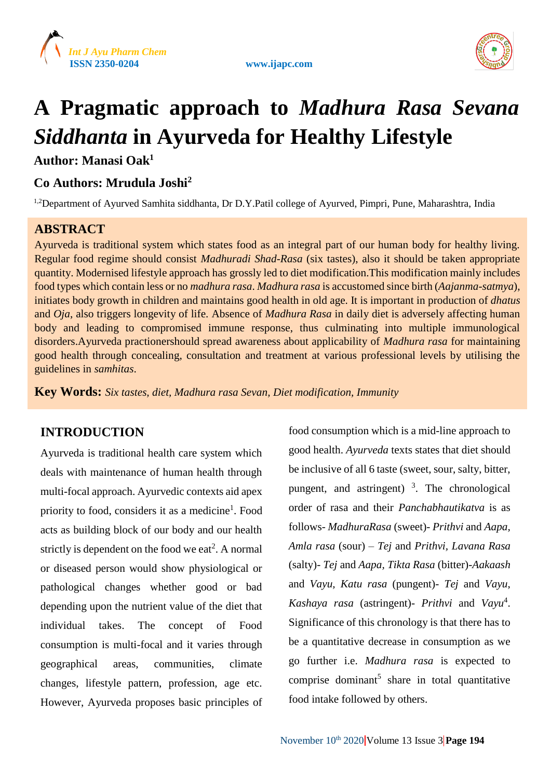





# **A Pragmatic approach to** *Madhura Rasa Sevana Siddhanta* **in Ayurveda for Healthy Lifestyle**

**Author: Manasi Oak<sup>1</sup>**

# **Co Authors: Mrudula Joshi<sup>2</sup>**

<sup>1,2</sup>Department of Ayurved Samhita siddhanta, Dr D.Y.Patil college of Ayurved, Pimpri, Pune, Maharashtra, India

# **ABSTRACT**

Ayurveda is traditional system which states food as an integral part of our human body for healthy living. Regular food regime should consist *Madhuradi Shad-Rasa* (six tastes), also it should be taken appropriate quantity. Modernised lifestyle approach has grossly led to diet modification.This modification mainly includes food types which contain less or no *madhura rasa*. *Madhura rasa* is accustomed since birth (*Aajanma-satmya*), initiates body growth in children and maintains good health in old age. It is important in production of *dhatus* and *Oja*, also triggers longevity of life. Absence of *Madhura Rasa* in daily diet is adversely affecting human body and leading to compromised immune response, thus culminating into multiple immunological disorders.Ayurveda practionershould spread awareness about applicability of *Madhura rasa* for maintaining good health through concealing, consultation and treatment at various professional levels by utilising the guidelines in *samhitas*.

**Key Words:** *Six tastes, diet, Madhura rasa Sevan, Diet modification, Immunity*

# **INTRODUCTION**

Ayurveda is traditional health care system which deals with maintenance of human health through multi-focal approach. Ayurvedic contexts aid apex priority to food, considers it as a medicine<sup>1</sup>. Food acts as building block of our body and our health strictly is dependent on the food we eat<sup>2</sup>. A normal or diseased person would show physiological or pathological changes whether good or bad depending upon the nutrient value of the diet that individual takes. The concept of Food consumption is multi-focal and it varies through geographical areas, communities, climate changes, lifestyle pattern, profession, age etc. However, Ayurveda proposes basic principles of

food consumption which is a mid-line approach to good health. *Ayurveda* texts states that diet should be inclusive of all 6 taste (sweet, sour, salty, bitter, pungent, and astringent)  $3$ . The chronological order of rasa and their *Panchabhautikatva* is as follows- *MadhuraRasa* (sweet)- *Prithvi* and *Aapa, Amla rasa* (sour) – *Tej* and *Prithvi, Lavana Rasa*  (salty)- *Tej* and *Aapa, Tikta Rasa* (bitter)-*Aakaash* and *Vayu, Katu rasa* (pungent)- *Tej* and *Vayu*, *Kashaya rasa* (astringent)- *Prithvi* and *Vayu*<sup>4</sup> . Significance of this chronology is that there has to be a quantitative decrease in consumption as we go further i.e. *Madhura rasa* is expected to comprise dominant<sup>5</sup> share in total quantitative food intake followed by others.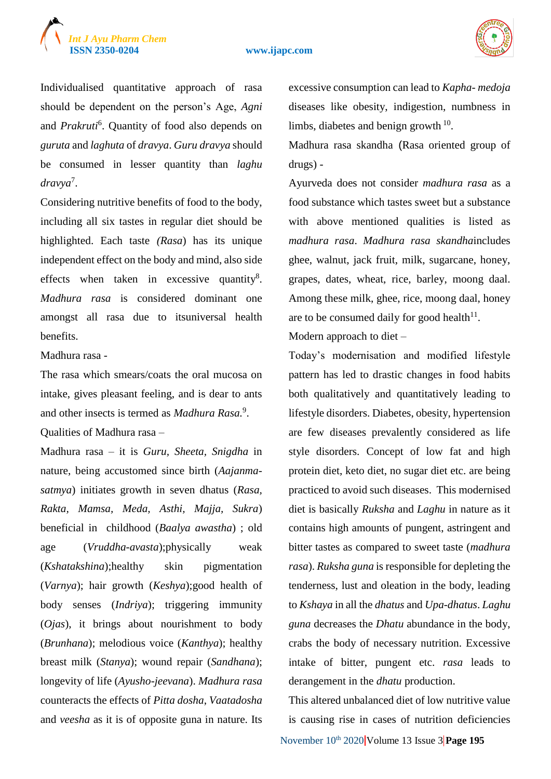# *Int J Ayu Pharm Chem*

#### **ISSN 2350-0204 www.ijapc.com**



Individualised quantitative approach of rasa should be dependent on the person's Age, *Agni* and *Prakruti*<sup>6</sup> . Quantity of food also depends on *guruta* and *laghuta* of *dravya*. *Guru dravya* should be consumed in lesser quantity than *laghu dravya*<sup>7</sup> .

Considering nutritive benefits of food to the body, including all six tastes in regular diet should be highlighted. Each taste *(Rasa*) has its unique independent effect on the body and mind, also side effects when taken in excessive quantity<sup>8</sup>. *Madhura rasa* is considered dominant one amongst all rasa due to itsuniversal health benefits.

#### Madhura rasa -

The rasa which smears/coats the oral mucosa on intake, gives pleasant feeling, and is dear to ants and other insects is termed as *Madhura Rasa*.<sup>9</sup>. Qualities of Madhura rasa –

Madhura rasa – it is *Guru, Sheeta, Snigdha* in nature, being accustomed since birth (*Aajanmasatmya*) initiates growth in seven dhatus (*Rasa, Rakta, Mamsa, Meda, Asthi, Majja, Sukra*) beneficial in childhood (*Baalya awastha*) ; old age (*Vruddha-avasta*);physically weak (*Kshatakshina*);healthy skin pigmentation (*Varnya*); hair growth (*Keshya*);good health of body senses (*Indriya*); triggering immunity (*Ojas*), it brings about nourishment to body (*Brunhana*); melodious voice (*Kanthya*); healthy breast milk (*Stanya*); wound repair (*Sandhana*); longevity of life (*Ayusho-jeevana*). *Madhura rasa* counteracts the effects of *Pitta dosha*, *Vaatadosha* and *veesha* as it is of opposite guna in nature. Its

excessive consumption can lead to *Kapha- medoja* diseases like obesity, indigestion, numbness in limbs, diabetes and benign growth  $10$ .

Madhura rasa skandha (Rasa oriented group of drugs) -

Ayurveda does not consider *madhura rasa* as a food substance which tastes sweet but a substance with above mentioned qualities is listed as *madhura rasa*. *Madhura rasa skandha*includes ghee, walnut, jack fruit, milk, sugarcane, honey, grapes, dates, wheat, rice, barley, moong daal. Among these milk, ghee, rice, moong daal, honey are to be consumed daily for good health<sup>11</sup>.

Modern approach to diet –

Today's modernisation and modified lifestyle pattern has led to drastic changes in food habits both qualitatively and quantitatively leading to lifestyle disorders. Diabetes, obesity, hypertension are few diseases prevalently considered as life style disorders. Concept of low fat and high protein diet, keto diet, no sugar diet etc. are being practiced to avoid such diseases. This modernised diet is basically *Ruksha* and *Laghu* in nature as it contains high amounts of pungent, astringent and bitter tastes as compared to sweet taste (*madhura rasa*). *Ruksha guna* is responsible for depleting the tenderness, lust and oleation in the body, leading to *Kshaya* in all the *dhatus* and *Upa-dhatus*. *Laghu guna* decreases the *Dhatu* abundance in the body, crabs the body of necessary nutrition. Excessive intake of bitter, pungent etc. *rasa* leads to derangement in the *dhatu* production.

November 10<sup>th</sup> 2020 Volume 13 Issue 3 **Page 195** This altered unbalanced diet of low nutritive value is causing rise in cases of nutrition deficiencies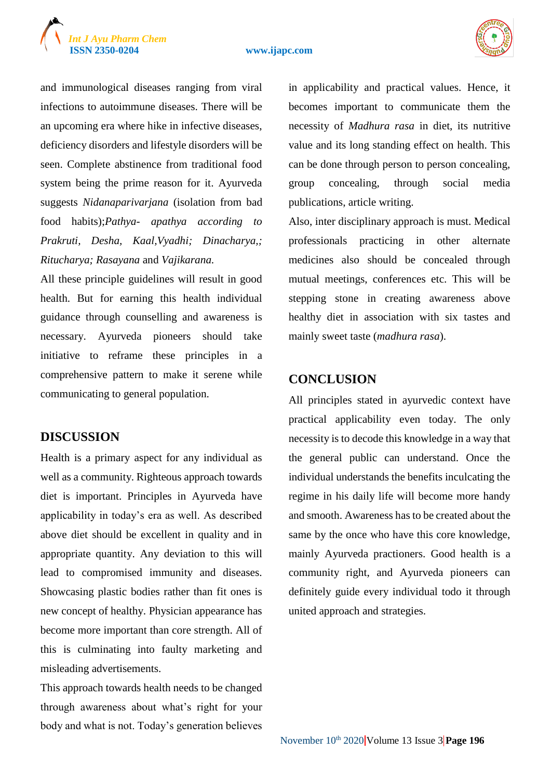# *Int J Ayu Pharm Chem*

#### **ISSN 2350-0204 www.ijapc.com**



and immunological diseases ranging from viral infections to autoimmune diseases. There will be an upcoming era where hike in infective diseases, deficiency disorders and lifestyle disorders will be seen. Complete abstinence from traditional food system being the prime reason for it. Ayurveda suggests *Nidanaparivarjana* (isolation from bad food habits);*Pathya- apathya according to Prakruti, Desha, Kaal,Vyadhi; Dinacharya,; Ritucharya; Rasayana* and *Vajikarana.*

All these principle guidelines will result in good health. But for earning this health individual guidance through counselling and awareness is necessary. Ayurveda pioneers should take initiative to reframe these principles in a comprehensive pattern to make it serene while communicating to general population.

## **DISCUSSION**

Health is a primary aspect for any individual as well as a community. Righteous approach towards diet is important. Principles in Ayurveda have applicability in today's era as well. As described above diet should be excellent in quality and in appropriate quantity. Any deviation to this will lead to compromised immunity and diseases. Showcasing plastic bodies rather than fit ones is new concept of healthy. Physician appearance has become more important than core strength. All of this is culminating into faulty marketing and misleading advertisements.

This approach towards health needs to be changed through awareness about what's right for your body and what is not. Today's generation believes in applicability and practical values. Hence, it becomes important to communicate them the necessity of *Madhura rasa* in diet, its nutritive value and its long standing effect on health. This can be done through person to person concealing, group concealing, through social media publications, article writing.

Also, inter disciplinary approach is must. Medical professionals practicing in other alternate medicines also should be concealed through mutual meetings, conferences etc. This will be stepping stone in creating awareness above healthy diet in association with six tastes and mainly sweet taste (*madhura rasa*).

### **CONCLUSION**

All principles stated in ayurvedic context have practical applicability even today. The only necessity is to decode this knowledge in a way that the general public can understand. Once the individual understands the benefits inculcating the regime in his daily life will become more handy and smooth. Awareness has to be created about the same by the once who have this core knowledge, mainly Ayurveda practioners. Good health is a community right, and Ayurveda pioneers can definitely guide every individual todo it through united approach and strategies.